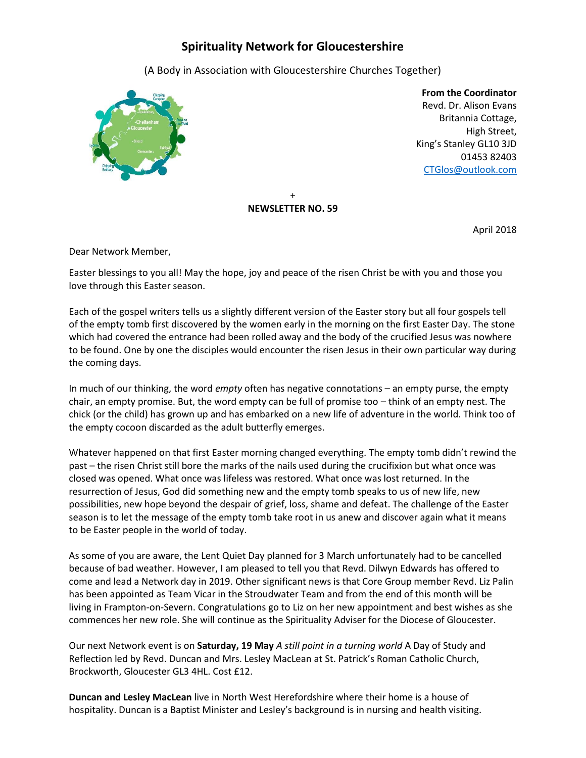# **Spirituality Network for Gloucestershire**

(A Body in Association with Gloucestershire Churches Together)



 **From the Coordinator** Revd. Dr. Alison Evans Britannia Cottage, High Street, King's Stanley GL10 3JD 01453 82403 [CTGlos@outlook.com](mailto:CTGlos@outlook.com)

#### + **NEWSLETTER NO. 59**

April 2018

Dear Network Member,

Easter blessings to you all! May the hope, joy and peace of the risen Christ be with you and those you love through this Easter season.

Each of the gospel writers tells us a slightly different version of the Easter story but all four gospels tell of the empty tomb first discovered by the women early in the morning on the first Easter Day. The stone which had covered the entrance had been rolled away and the body of the crucified Jesus was nowhere to be found. One by one the disciples would encounter the risen Jesus in their own particular way during the coming days.

In much of our thinking, the word *empty* often has negative connotations – an empty purse, the empty chair, an empty promise. But, the word empty can be full of promise too – think of an empty nest. The chick (or the child) has grown up and has embarked on a new life of adventure in the world. Think too of the empty cocoon discarded as the adult butterfly emerges.

Whatever happened on that first Easter morning changed everything. The empty tomb didn't rewind the past – the risen Christ still bore the marks of the nails used during the crucifixion but what once was closed was opened. What once was lifeless was restored. What once was lost returned. In the resurrection of Jesus, God did something new and the empty tomb speaks to us of new life, new possibilities, new hope beyond the despair of grief, loss, shame and defeat. The challenge of the Easter season is to let the message of the empty tomb take root in us anew and discover again what it means to be Easter people in the world of today.

As some of you are aware, the Lent Quiet Day planned for 3 March unfortunately had to be cancelled because of bad weather. However, I am pleased to tell you that Revd. Dilwyn Edwards has offered to come and lead a Network day in 2019. Other significant news is that Core Group member Revd. Liz Palin has been appointed as Team Vicar in the Stroudwater Team and from the end of this month will be living in Frampton-on-Severn. Congratulations go to Liz on her new appointment and best wishes as she commences her new role. She will continue as the Spirituality Adviser for the Diocese of Gloucester.

Our next Network event is on **Saturday, 19 May** *A still point in a turning world* A Day of Study and Reflection led by Revd. Duncan and Mrs. Lesley MacLean at St. Patrick's Roman Catholic Church, Brockworth, Gloucester GL3 4HL. Cost £12.

**Duncan and Lesley MacLean** live in North West Herefordshire where their home is a house of hospitality. Duncan is a Baptist Minister and Lesley's background is in nursing and health visiting.